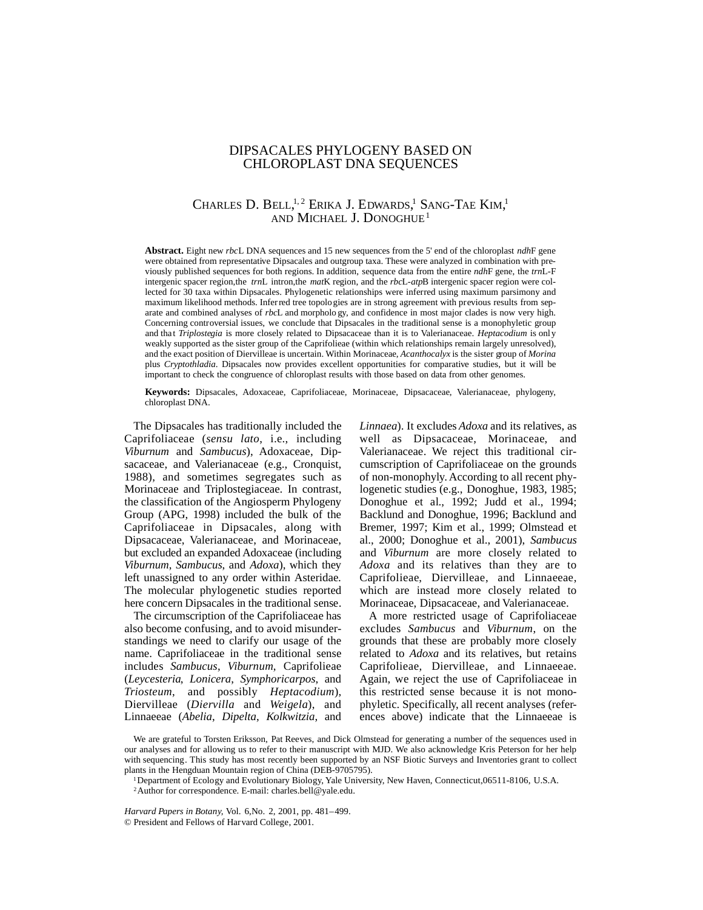### DIPSACALES PHYLOGENY BASED ON CHLOROPLAST DNA SEQUENCES

### CHARLES D. BELL,<sup>1,2</sup> ERIKA J. EDWARDS,<sup>1</sup> SANG-TAE KIM,<sup>1</sup> AND MICHAEL J. DONOGHUE<sup>1</sup>

**Abstract.** Eight new *rbc*L DNA sequences and 15 new sequences from the 5' end of the chloroplast *ndh*F gene were obtained from representative Dipsacales and outgroup taxa. These were analyzed in combination with previously published sequences for both regions. In addition, sequence data from the entire *ndh*F gene, the *trn*L-F intergenic spacer region,the *trn*L intron,the *mat*K region, and the *rbc*L-*atp*B intergenic spacer region were collected for 30 taxa within Dipsacales. Phylogenetic relationships were inferred using maximum parsimony and maximum likelihood methods. Inferred tree topologies are in strong agreement with previous results from separate and combined analyses of *rbc*L and morpholo gy, and confidence in most major clades is now very high. Concerning controversial issues, we conclude that Dipsacales in the traditional sense is a monophyletic group and that *Triplostegia* is more closely related to Dipsacaceae than it is to Valerianaceae. *Heptacodium* is only weakly supported as the sister group of the Caprifolieae (within which relationships remain largely unresolved), and the exact position of Diervilleae is uncertain. Within Morinaceae, *Acanthocalyx* is the sister group of *Morina* plus *Cryptothladia*. Dipsacales now provides excellent opportunities for comparative studies, but it will be important to check the congruence of chloroplast results with those based on data from other genomes.

**Keywords:** Dipsacales, Adoxaceae, Caprifoliaceae, Morinaceae, Dipsacaceae, Valerianaceae, phylogeny, chloroplast DNA.

The Dipsacales has traditionally included the Caprifoliaceae (*sensu lato*, i.e., including *Viburnum* and *Sambucus*), Adoxaceae, Dipsacaceae, and Valerianaceae (e.g., Cronquist, 1988), and sometimes segregates such as Morinaceae and Triplostegiaceae. In contrast, the classification of the Angiosperm Phylogeny Group (APG, 1998) included the bulk of the Caprifoliaceae in Dipsacales, along with Dipsacaceae, Valerianaceae, and Morinaceae, but excluded an expanded Adoxaceae (including *Viburnum*, *Sambucus*, and *Adoxa*), which they left unassigned to any order within Asteridae. The molecular phylogenetic studies reported here concern Dipsacales in the traditional sense.

The circumscription of the Caprifoliaceae has also become confusing, and to avoid misunderstandings we need to clarify our usage of the name. Caprifoliaceae in the traditional sense includes *Sambucus*, *Viburnum*, Caprifolieae (*Leycesteria*, *Lonicera*, *Symphoricarpos*, and  $Triosteum$ , and possibly *Heptacodium*), Diervilleae (*Diervilla* and *Weigela*), and Linnaeeae (*Abelia*, *Dipelta*, *Kolkwitzia*, and *Linnaea*). It excludes *Adoxa* and its relatives, as well as Dipsacaceae, Morinaceae, and Valerianaceae. We reject this traditional circumscription of Caprifoliaceae on the grounds of non-monophyly. According to all recent phylogenetic studies (e.g., Donoghue, 1983, 1985; Donoghue et al., 1992; Judd et al., 1994; Backlund and Donoghue, 1996; Backlund and Bremer, 1997; Kim et al., 1999; Olmstead et al., 2000; Donoghue et al., 2001), *Sambucus* and *Viburnum* are more closely related to *Adoxa* and its relatives than they are to Caprifolieae, Diervilleae, and Linnaeeae, which are instead more closely related to Morinaceae, Dipsacaceae, and Valerianaceae.

A more restricted usage of Caprifoliaceae excludes *Sambucus* and *Viburnum*, on the grounds that these are probably more closely related to *Adoxa* and its relatives, but retains Caprifolieae, Diervilleae, and Linnaeeae. Again, we reject the use of Caprifoliaceae in this restricted sense because it is not monophyletic. Specifically, all recent analyses (references above) indicate that the Linnaeeae is

*Harvard Papers in Botany,* Vol. 6,No. 2, 2001, pp. 481–499. © President and Fellows of Harvard College, 2001.

We are grateful to Torsten Eriksson, Pat Reeves, and Dick Olmstead for generating a number of the sequences used in our analyses and for allowing us to refer to their manuscript with MJD. We also acknowledge Kris Peterson for her help with sequencing. This study has most recently been supported by an NSF Biotic Surveys and Inventories grant to collect plants in the Hengduan Mountain region of China (DEB-9705795).

<sup>1</sup>Department of Ecology and Evolutionary Biology, Yale University, New Haven, Connecticut,06511-8106, U.S.A.

<sup>2</sup>Author for correspondence. E-mail: charles.bell@yale.edu.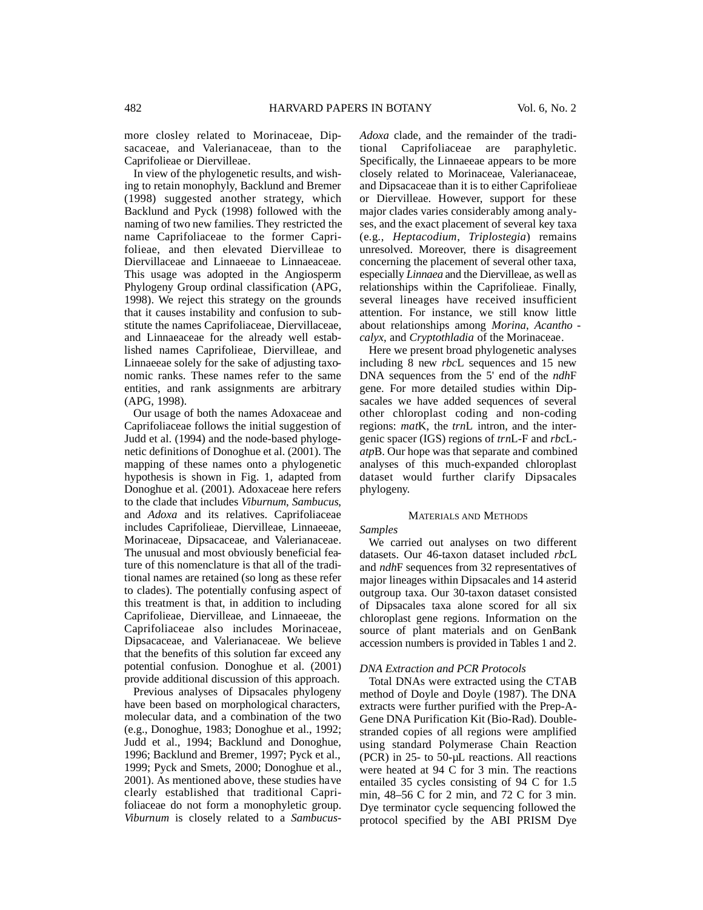more closley related to Morinaceae, Dipsacaceae, and Valerianaceae, than to the Caprifolieae or Diervilleae.

In view of the phylogenetic results, and wishing to retain monophyly, Backlund and Bremer  $(1998)$  suggested another strategy, which Backlund and Pyck (1998) followed with the naming of two new families. They restricted the name Caprifoliaceae to the former Caprifolieae, and then elevated Diervilleae to Diervillaceae and Linnaeeae to Linnaeaceae. This usage was adopted in the Angiosperm Phylogeny Group ordinal classification (APG, 1998). We reject this strategy on the grounds that it causes instability and confusion to substitute the names Caprifoliaceae, Diervillaceae, and Linnaeaceae for the already well established names Caprifolieae, Diervilleae, and Linnaeeae solely for the sake of adjusting taxonomic ranks. These names refer to the same entities, and rank assignments are arbitrary (APG, 1998).

Our usage of both the names Adoxaceae and Caprifoliaceae follows the initial suggestion of Judd et al. (1994) and the node-based phylogenetic definitions of Donoghue et al. (2001). The mapping of these names onto a phylogenetic hypothesis is shown in Fig. 1, adapted from Donoghue et al. (2001). Adoxaceae here refers to the clade that includes *Viburnum*, *Sambucus*, and *Adoxa* and its relatives. Caprifoliaceae includes Caprifolieae, Diervilleae, Linnaeeae, Morinaceae, Dipsacaceae, and Valerianaceae. The unusual and most obviously beneficial feature of this nomenclature is that all of the traditional names are retained (so long as these refer to clades). The potentially confusing aspect of this treatment is that, in addition to including Caprifolieae, Diervilleae, and Linnaeeae, the Caprifoliaceae also includes Morinaceae, Dipsacaceae, and Valerianaceae. We believe that the benefits of this solution far exceed any potential confusion. Donoghue et al. (2001) provide additional discussion of this approach.

Previous analyses of Dipsacales phylogeny have been based on morphological characters, molecular data, and a combination of the two (e.g., Donoghue, 1983; Donoghue et al., 1992; Judd et al., 1994; Backlund and Donoghue, 1996; Backlund and Bremer, 1997; Pyck et al., 1999; Pyck and Smets, 2000; Donoghue et al., 2001). As mentioned above, these studies have clearly established that traditional Caprifoliaceae do not form a monophyletic group. *Viburnum* is closely related to a *Sambucus*- *Adoxa* clade, and the remainder of the traditional Caprifoliaceae are paraphyletic. Specifically, the Linnaeeae appears to be more closely related to Morinaceae, Valerianaceae, and Dipsacaceae than it is to either Caprifolieae or Diervilleae. However, support for these major clades varies considerably among analyses, and the exact placement of several key taxa (e.g., *Heptacodium*, *Triplostegia*) remains unresolved. Moreover, there is disagreement concerning the placement of several other taxa, e specially *Linnaea* and the Diervilleae, as well as relationships within the Caprifolieae. Finally, several lineages have received insufficient attention. For instance, we still know little about relationships among *Morina*, *Acantho calyx*, and *Cryptothladia* of the Morinaceae.

Here we present broad phylogenetic analyses including 8 new *rbc*L sequences and 15 new DNA sequences from the 5' end of the *ndh*F gene. For more detailed studies within Dipsacales we have added sequences of several other chloroplast coding and non-coding regions: *mat*K, the *trn*L intron, and the intergenic spacer (IGS) regions of *trn*L-F and *rbc*L*atp*B. Our hope was that separate and combined analyses of this much-expanded chloroplast dataset would further clarify Dipsacales phylogeny.

#### MATERIALS AND METHODS

*Samples*

We carried out analyses on two different datasets. Our 46-taxon dataset included *rbc*L and *ndh*F sequences from 32 representatives of major lineages within Dipsacales and 14 asterid outgroup taxa. Our 30-taxon dataset consisted of Dipsacales taxa alone scored for all six chloroplast gene regions. Information on the source of plant materials and on GenBank accession numbers is provided in Tables 1 and 2.

#### *DNA Extraction and PCR Protocols*

Total DNAs were extracted using the CTAB method of Doyle and Doyle (1987). The DNA extracts were further purified with the Prep-A-Gene DNA Purification Kit (Bio-Rad). Doublestranded copies of all regions were amplified using standard Polymerase Chain Reaction (PCR) in 25- to 50-µL reactions. All reactions were heated at 94 C for 3 min. The reactions entailed 35 cycles consisting of 94 C for 1.5 min, 48–56 C for 2 min, and 72 C for 3 min. Dye terminator cycle sequencing followed the protocol specified by the ABI PRISM Dye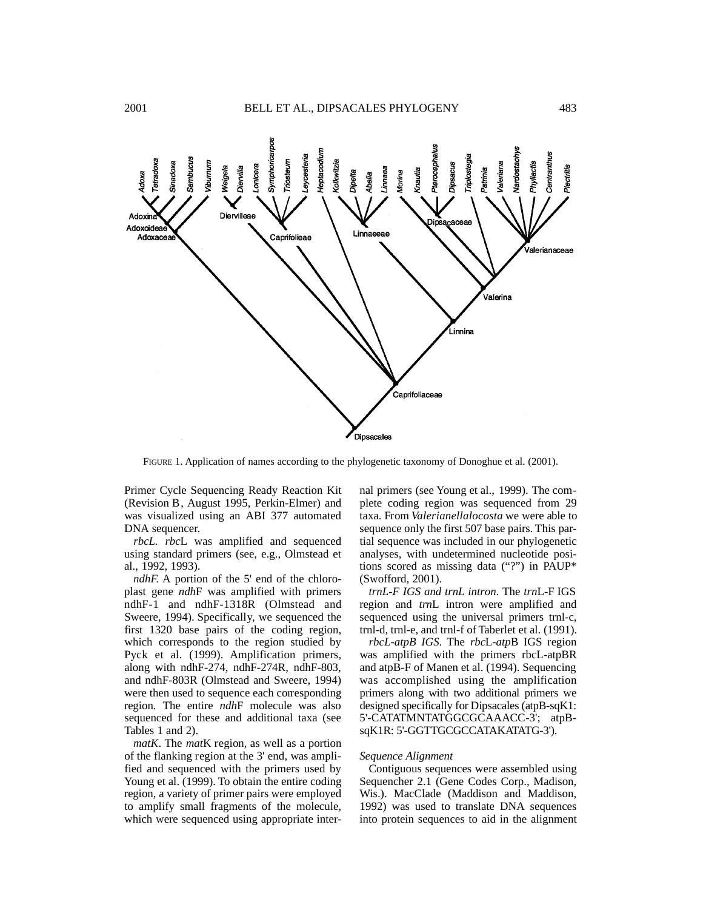

FIGURE 1. Application of names according to the phylogenetic taxonomy of Donoghue et al. (2001).

Primer Cycle Sequencing Ready Reaction Kit (Revision B, August 1995, Perkin-Elmer) and was visualized using an ABI 377 automated DNA sequencer.

*rbcL. rbc*L was amplified and sequenced using standard primers (see, e.g., Olmstead et al., 1992, 1993).

*ndhF.* A portion of the 5' end of the chloroplast gene *ndh*F was amplified with primers ndhF-1 and ndhF-1318R (Olmstead and Sweere, 1994). Specifically, we sequenced the first 1320 base pairs of the coding region, which corresponds to the region studied by Pyck et al. (1999). Amplification primers, along with ndhF-274, ndhF-274R, ndhF-803, and ndhF-803R (Olmstead and Sweere, 1994) were then used to sequence each corresponding region. The entire *ndh*F molecule was also sequenced for these and additional taxa (see Tables 1 and 2).

*matK*. The *mat*K region, as well as a portion of the flanking region at the 3' end, was amplified and sequenced with the primers used by Young et al. (1999). To obtain the entire coding region, a variety of primer pairs were employed to amplify small fragments of the molecule, which were sequenced using appropriate internal primers (see Young et al., 1999). The complete coding region was sequenced from 29 taxa. From *Valerianellalocosta* we were able to sequence only the first 507 base pairs. This partial sequence was included in our phylogenetic analyses, with undetermined nucleotide positions scored as missing data ("?") in PAUP\* (Swofford, 2001).

*trnL-F IGS and trnL intron*. The *trn*L-F IGS region and *trn*L intron were amplified and sequenced using the universal primers trnl-c, trnl-d, trnl-e, and trnl-f of Taberlet et al. (1991).

*rbcL-atpB IGS*. The *rbc*L-*atp*B IGS region was amplified with the primers rbcL-atpBR and atpB-F of Manen et al. (1994). Sequencing was accomplished using the amplification primers along with two additional primers we designed specifically for Dipsacales (at  $p$ B-s $qK1$ : 5'-CATATMNTATGGCGCAAACC-3'; atpBsqK1R: 5'-GGTTGCGCCATAKATATG-3').

#### *Sequence Alignment*

Contiguous sequences were assembled using Sequencher 2.1 (Gene Codes Corp., Madison, Wis.). MacClade (Maddison and Maddison, 1992) was used to translate DNA sequences into protein sequences to aid in the alignment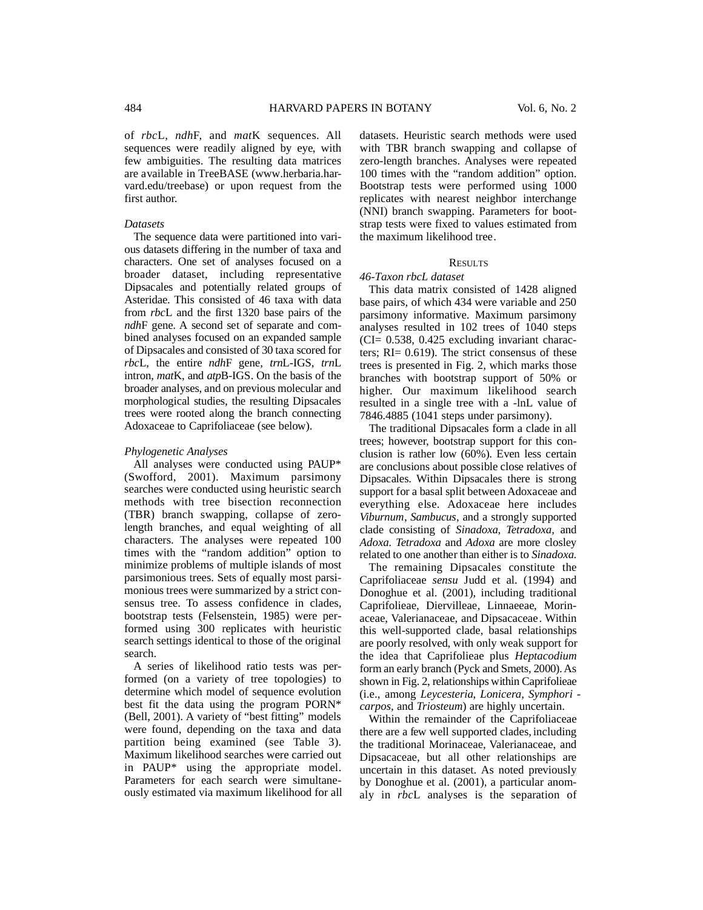of *rbcL*, *ndhF*, and *matK* sequences. All sequences were readily aligned by eye, with few ambiguities. The resulting data matrices are available in TreeBASE (www.herbaria.harvard.edu/treebase) or upon request from the first author.

#### *Datasets*

The sequence data were partitioned into various datasets differing in the number of taxa and characters. One set of analyses focused on a broader dataset, including representative Dipsacales and potentially related groups of A steridae. This consisted of 46 taxa with data from *rbc*L and the first 1320 base pairs of the *ndhF* gene. A second set of separate and combined analyses focused on an expanded sample of Dipsacales and consisted of 30 taxa scored for *rbcL*, the entire *ndhF* gene, *trnL*-IGS, *trnL* intron, *mat*K, and *atp*B-IGS. On the basis of the broader analyses, and on previous molecular and morphological studies, the resulting Dipsacales trees were rooted along the branch connecting A doxaceae to Caprifoliaceae (see below).

#### *Phylogenetic Analyses*

All analyses were conducted using PAUP\* (Swofford, 2001). Maximum parsimony searches were conducted using heuristic search methods with tree bisection reconnection  $(TBR)$  branch swapping, collapse of zerolength branches, and equal weighting of all characters. The analyses were repeated 100 times with the "random addition" option to minimize problems of multiple islands of most parsimonious trees. Sets of equally most parsimonious trees were summarized by a strict consensus tree. To assess confidence in clades, bootstrap tests (Felsenstein, 1985) were performed using 300 replicates with heuristic search settings identical to those of the original search.

A series of likelihood ratio tests was performed (on a variety of tree topologies) to determine which model of sequence evolution best fit the data using the program PORN\* (Bell, 2001). A variety of "best fitting" models were found, depending on the taxa and data partition being examined (see Table 3). Maximum likelihood searches were carried out in PAUP $*$  using the appropriate model. Parameters for each search were simultaneously estimated via maximum likelihood for all datasets. Heuristic search methods were used with TBR branch swapping and collapse of zero-length branches. Analyses were repeated 100 times with the "random addition" option. Bootstrap tests were performed using 1000 replicates with nearest neighbor interchange (NNI) branch swapping. Parameters for bootstrap tests were fixed to values estimated from the maximum likelihood tree.

#### RESULTS

### *46-Taxon rbcL dataset*

This data matrix consisted of 1428 aligned base pairs, of which 434 were variable and 250 parsimony informative. Maximum parsimony analyses resulted in 102 trees of 1040 steps  $(CI = 0.538, 0.425$  excluding invariant characters; RI= 0.619). The strict consensus of these trees is presented in Fig. 2, which marks those branches with bootstrap support of 50% or higher. Our maximum likelihood search resulted in a single tree with a -lnL value of 7846.4885 (1041 steps under parsimony).

The traditional Dipsacales form a clade in all trees; however, bootstrap support for this conclusion is rather low  $(60\%)$ . Even less certain are conclusions about possible close relatives of Dipsacales. Within Dipsacales there is strong support for a basal split between Adoxaceae and everything else. Adoxaceae here includes *Viburnum, Sambucus, and a strongly supported* clade consisting of *Sinadoxa*, *Tetradoxa*, and Adoxa. Tetradoxa and Adoxa are more closley related to one another than either is to *Sinadoxa*.

The remaining Dipsacales constitute the Caprifoliaceae *sensu* Judd et al. (1994) and Donoghue et al. (2001), including traditional Caprifolieae, Diervilleae, Linnaeeae, Morinaceae, Valerianaceae, and Dipsacaceae. Within this well-supported clade, basal relationships are poorly resolved, with only weak support for the idea that Caprifolieae plus *Heptacodium* form an early branch (Pyck and Smets, 2000). As shown in Fig. 2, relationships within Caprifolieae (i.e., among *Leycesteria*, *Lonicera*, *Symphori carpos*, and *Triosteum*) are highly uncertain.

Within the remainder of the Caprifoliaceae there are a few well supported clades, including the traditional Morinaceae, Valerianaceae, and Dipsacaceae, but all other relationships are uncertain in this dataset. As noted previously by Donoghue et al. (2001), a particular anomaly in *rbc*L analyses is the separation of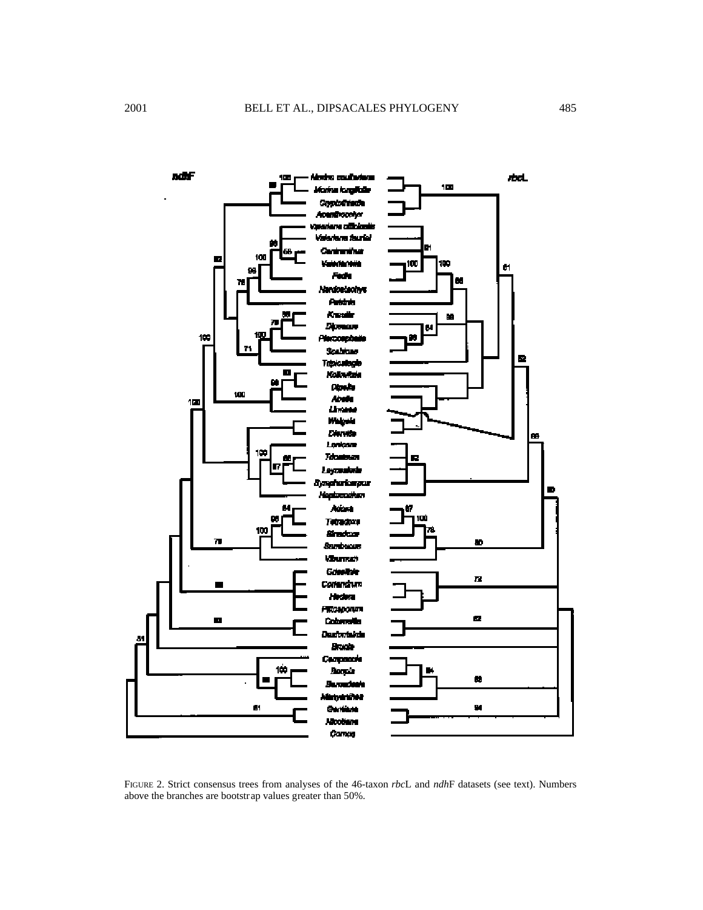

FIGURE 2. Strict consensus trees from analyses of the 46-taxon *rbc*L and *ndh*F datasets (see text). Numbers above the branches are bootstrap values greater than 50%.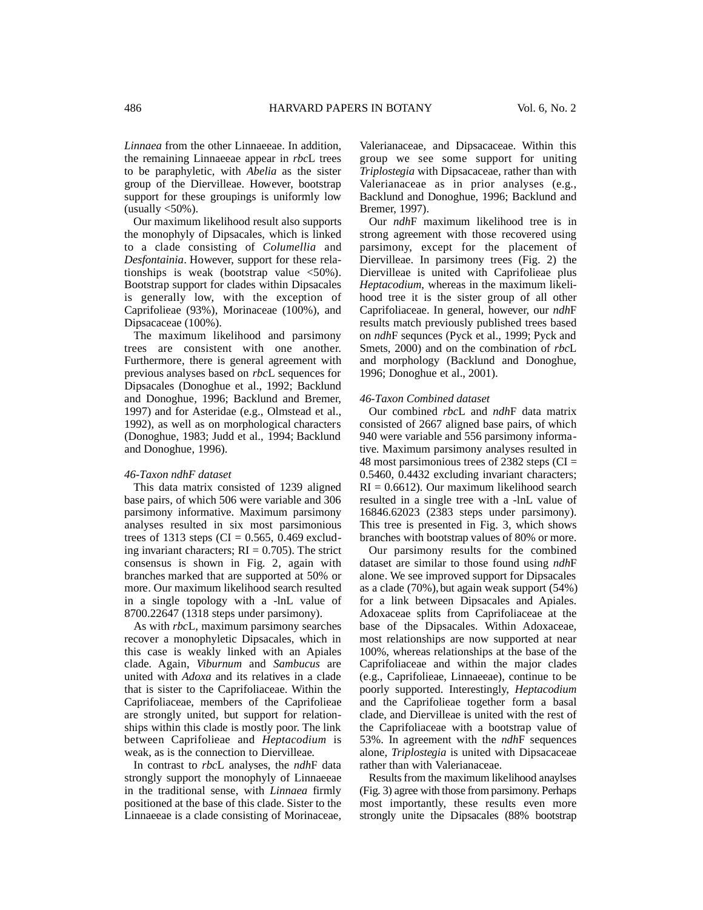*Linnaea* from the other Linnaeeae. In addition, the remaining Linnaeeae appear in *rbc*L trees to be paraphyletic, with *Abelia* as the sister group of the Diervilleae. However, bootstrap support for these groupings is uniformly low (usually  $\langle 50\% \rangle$ .

Our maximum likelihood result also supports the monophyly of Dipsacales, which is linked to a clade consisting of *Columellia* and *Desfontainia*. However, support for these relationships is weak (bootstrap value  $\langle 50\% \rangle$ . Bootstrap support for clades within Dipsacales is generally low, with the exception of Caprifolieae (93%), Morinaceae (100%), and Dipsacaceae (100%).

The maximum likelihood and parsimony trees are consistent with one another. Furthermore, there is general agreement with previous analyses based on *rbc*L sequences for Dipsacales (Donoghue et al., 1992; Backlund and Donoghue, 1996; Backlund and Bremer, 1997) and for Asteridae (e.g., Olmstead et al., 1992), as well as on morphological characters (Donoghue, 1983; Judd et al., 1994; Backlund and Donoghue, 1996).

#### *46-Taxon ndhF dataset*

This data matrix consisted of 1239 aligned base pairs, of which 506 were variable and 306 parsimony informative. Maximum parsimony analyses resulted in six most parsimonious trees of 1313 steps (CI =  $0.565$ , 0.469 excluding invariant characters;  $RI = 0.705$ ). The strict consensus is shown in Fig. 2, again with branches marked that are supported at 50% or more. Our maximum likelihood search resulted in a single topology with a -lnL value of 8700.22647 (1318 steps under parsimony).

As with *rbc*L, maximum parsimony searches recover a monophyletic Dipsacales, which in this case is weakly linked with an Apiales clade. Again, *Viburnum* and *Sambucus* are united with *Adoxa* and its relatives in a clade that is sister to the Caprifoliaceae. Within the Caprifoliaceae, members of the Caprifolieae are strongly united, but support for relationships within this clade is mostly poor. The link between Caprifolieae and *Heptacodium* is weak, as is the connection to Diervilleae.

In contrast to *rbc*L analyses, the *ndh*F data strongly support the monophyly of Linnaeeae in the traditional sense, with *Linnaea* firmly positioned at the base of this clade. Sister to the Linnaeeae is a clade consisting of Morinaceae,

Valerianaceae, and Dipsacaceae. Within this group we see some support for uniting *Triplostegia* with Dipsacaceae, rather than with Valerianaceae as in prior analyses (e.g., Backlund and Donoghue, 1996; Backlund and Bremer, 1997).

Our *ndh*F maximum likelihood tree is in strong agreement with those recovered using parsimony, except for the placement of Diervilleae. In parsimony trees (Fig. 2) the Diervilleae is united with Caprifolieae plus *Heptacodium*, whereas in the maximum likelihood tree it is the sister group of all other Caprifoliaceae. In general, however, our *ndh*F results match previously published trees based on *ndh*F sequnces (Pyck et al., 1999; Pyck and Smets, 2000) and on the combination of *rbc*L and morphology (Backlund and Donoghue, 1996; Donoghue et al., 2001).

#### *46-Taxon Combined dataset*

Our combined *rbc*L and *ndh*F data matrix consisted of 2667 aligned base pairs, of which 940 were variable and 556 parsimony informative. Maximum parsimony analyses resulted in 48 most parsimonious trees of 2382 steps  $(CI =$ 0.5460, 0.4432 excluding invariant characters;  $RI = 0.6612$ . Our maximum likelihood search resulted in a single tree with a -lnL value of 16846.62023 (2383 steps under parsimony). This tree is presented in Fig. 3, which shows branches with bootstrap values of 80% or more.

Our parsimony results for the combined dataset are similar to those found using *ndh*F alone. We see improved support for Dipsacales as a clade (70%),but again weak support (54%) for a link between Dipsacales and Apiales. Adoxaceae splits from Caprifoliaceae at the base of the Dipsacales. Within Adoxaceae, most relationships are now supported at near 100%, whereas relationships at the base of the Caprifoliaceae and within the major clades (e.g., Caprifolieae, Linnaeeae), continue to be poorly supported. Interestingly, *Heptacodium* and the Caprifolieae together form a basal clade, and Diervilleae is united with the rest of the Caprifoliaceae with a bootstrap value of 53%. In agreement with the *ndh*F sequences alone, *Triplostegia* is united with Dipsacaceae rather than with Valerianaceae.

Results from the maximum likelihood anaylses (Fig. 3) agree with those from parsimony. Perhaps most importantly, these results even more strongly unite the Dipsacales (88% bootstrap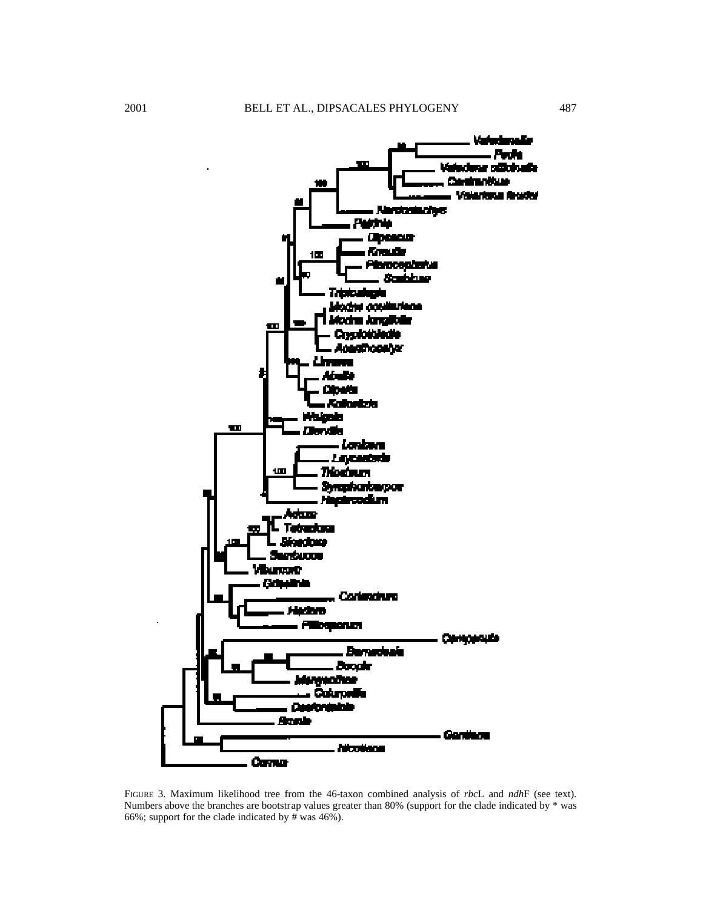

FIGURE 3. Maximum likelihood tree from the 46-taxon combined analysis of *rbcL* and *ndhF* (see text). Numbers above the branches are bootstrap values greater than 80% (support for the clade indicated by \* was 66%; support for the clade indicated by # was  $46\%$ ).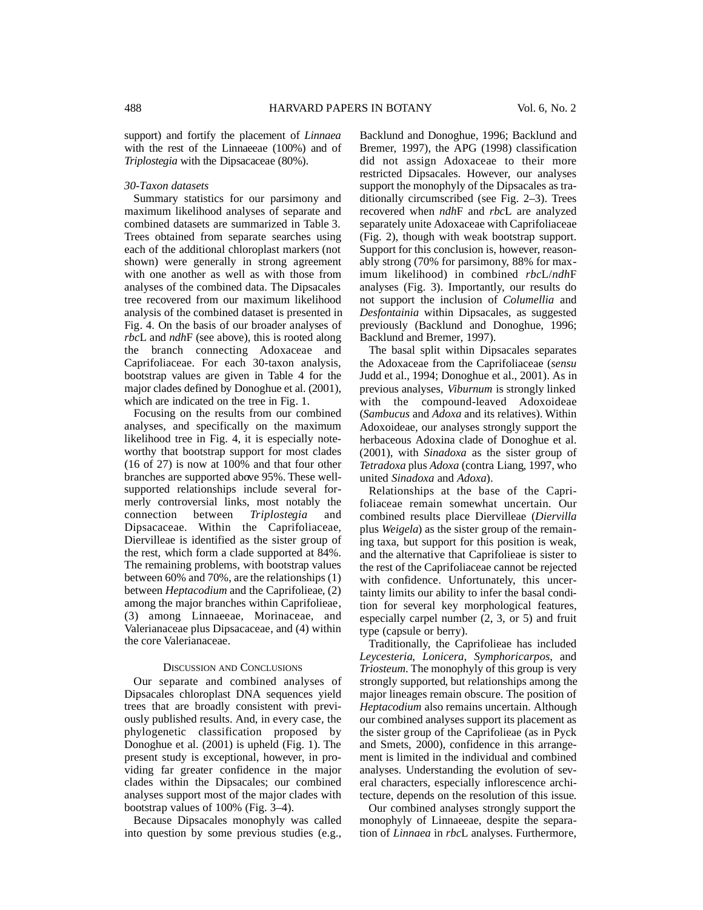support) and fortify the placement of *Linnaea* with the rest of the Linnaeeae (100%) and of *Triplostegia* with the Dipsacaceae (80%).

#### *30-Taxon datasets*

Summary statistics for our parsimony and maximum likelihood analyses of separate and combined datasets are summarized in Table 3. Trees obtained from separate searches using each of the additional chloroplast markers (not shown) were generally in strong agreement with one another as well as with those from analyses of the combined data. The Dipsacales tree recovered from our maximum likelihood analysis of the combined dataset is presented in Fig. 4. On the basis of our broader analyses of *rbc*L and *ndhF* (see above), this is rooted along the branch connecting Adoxaceae and Caprifoliaceae. For each 30-taxon analysis, bootstrap values are given in Table 4 for the major clades defined by Donoghue et al. (2001), which are indicated on the tree in Fig. 1.

Focusing on the results from our combined analyses, and specifically on the maximum likelihood tree in Fig. 4, it is especially noteworthy that bootstrap support for most clades (16 of 27) is now at 100% and that four other branches are supported above 95%. These wellsupported relationships include several formerly controversial links, most notably the connection between *Triplostegia* and Dipsacaceae. Within the Caprifoliaceae, Diervilleae is identified as the sister group of the rest, which form a clade supported at 84%. The remaining problems, with bootstrap values between 60% and 70%, are the relationships (1) between *Heptacodium* and the Caprifolieae, (2) among the major branches within Caprifolieae, (3) among Linnaeeae, Morinaceae, and Valerianaceae plus Dipsacaceae, and (4) within the core Valerianaceae.

#### DISCUSSION AND CONCLUSIONS

Our separate and combined analyses of Dipsacales chloroplast DNA sequences yield trees that are broadly consistent with previously published results. And, in every case, the phylogenetic classification proposed by Donoghue et al. (2001) is upheld (Fig. 1). The present study is exceptional, however, in providing far greater confidence in the major clades within the Dipsacales; our combined analyses support most of the major clades with bootstrap values of 100% (Fig. 3–4).

Because Dipsacales monophyly was called into question by some previous studies (e.g.,

Backlund and Donoghue, 1996; Backlund and Bremer, 1997), the APG (1998) classification did not assign Adoxaceae to their more restricted Dipsacales. However, our analyses support the monophyly of the Dipsacales as traditionally circumscribed (see Fig. 2–3). Trees recovered when *ndh*F and *rbc*L are analyzed separately unite Adoxaceae with Caprifoliaceae (Fig. 2), though with weak bootstrap support. Support for this conclusion is, however, reasonably strong (70% for parsimony, 88% for maximum likelihood) in combined *rbcL/ndhF* analyses (Fig. 3). Importantly, our results do not support the inclusion of *Columellia* and *Desfontainia* within Dipsacales, as suggested previously (Backlund and Donoghue, 1996; Backlund and Bremer, 1997).

The basal split within Dipsacales separates the Adoxaceae from the Caprifoliaceae (*sensu* Judd et al., 1994; Donoghue et al., 2001). As in previous analyses, *Viburnum* is strongly linked with the compound-leaved Adoxoideae (*Sambucus* and *Adoxa* and its relatives). Within Adoxoideae, our analyses strongly support the herbaceous Adoxina clade of Donoghue et al. (2001), with *Sinadoxa* as the sister group of *Tetradoxa* plus *Adoxa* (contra Liang, 1997, who united *Sinadoxa* and *Adoxa*).

Relationships at the base of the Caprifoliaceae remain somewhat uncertain. Our combined results place Diervilleae (*Diervilla* plus *Weigela*) as the sister group of the remaining taxa, but support for this position is weak, and the alternative that Caprifolieae is sister to the rest of the Caprifoliaceae cannot be rejected with confidence. Unfortunately, this uncertainty limits our ability to infer the basal condition for several key morphological features, especially carpel number (2, 3, or 5) and fruit type (capsule or berry).

Traditionally, the Caprifolieae has included Leycesteria, Lonicera, Symphoricarpos, and *Triosteum*. The monophyly of this group is very strongly supported, but relationships among the major lineages remain obscure. The position of *Heptacodium* also remains uncertain. Although our combined analyses support its placement as the sister group of the Caprifolieae (as in Pyck and Smets, 2000), confidence in this arrangement is limited in the individual and combined analyses. Understanding the evolution of several characters, especially inflorescence architecture, depends on the resolution of this issue.

Our combined analyses strongly support the monophyly of Linnaeeae, despite the separation of *Linnaea* in *rbc*L analyses. Furthermore,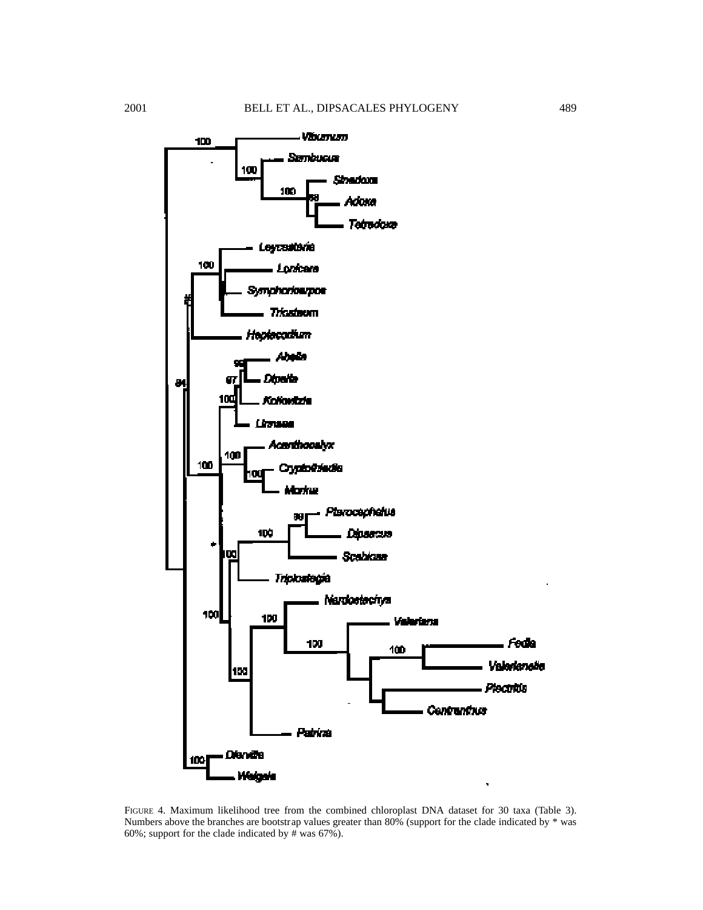

FIGURE 4. Maximum likelihood tree from the combined chloroplast DNA dataset for 30 taxa (Table 3). Numbers above the branches are bootstrap values greater than 80% (support for the clade indicated by \* was 60%; support for the clade indicated by # was  $67\%$ ).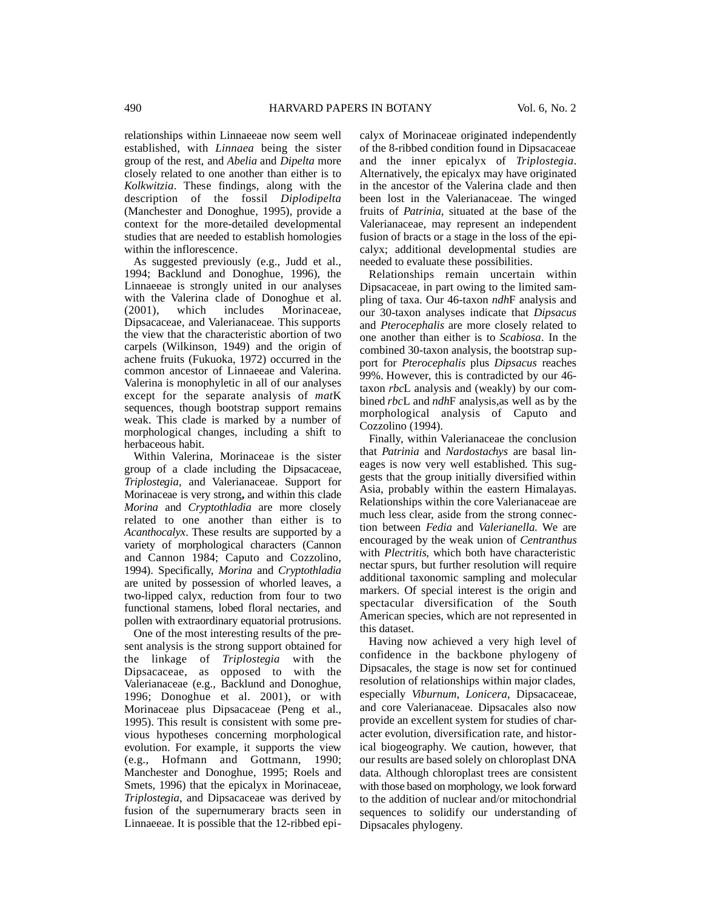relationships within Linnaeeae now seem well established, with *Linnaea* being the sister group of the rest, and *Abelia* and *Dipelta* more closely related to one another than either is to *Kolkwitzia*. These findings, along with the description of the fossil *Diplodipelta* (Manchester and Donoghue, 1995), provide a context for the more-detailed developmental studies that are needed to establish homologies within the inflorescence.

As suggested previously (e.g., Judd et al., 1994; Backlund and Donoghue, 1996), the Linnaeeae is strongly united in our analyses with the Valerina clade of Donoghue et al.<br>(2001), which includes Morinaceae. Morinaceae. Dipsacaceae, and Valerianaceae. This supports the view that the characteristic abortion of two carpels (Wilkinson, 1949) and the origin of achene fruits (Fukuoka, 1972) occurred in the common ancestor of Linnaeeae and Valerina. Valerina is monophyletic in all of our analyses except for the separate analysis of *mat*K sequences, though bootstrap support remains weak. This clade is marked by a number of morphological changes, including a shift to herbaceous habit.

Within Valerina, Morinaceae is the sister group of a clade including the Dipsacaceae, *Triplostegia*, and Valerianaceae. Support for Morinaceae is very strong, and within this clade *Morina* and *Cryptothladia* are more closely related to one another than either is to *Acanthocalyx.* These results are supported by a variety of morphological characters (Cannon and Cannon 1984; Caputo and Cozzolino, 1994). Specifically, *Morina* and *Cryptothladia* are united by possession of whorled leaves, a two-lipped calyx, reduction from four to two functional stamens, lobed floral nectaries, and pollen with extraordinary equatorial protrusions.

One of the most interesting results of the present analysis is the strong support obtained for the linkage of *Triplostegia* with the Dipsacaceae, as opposed to with the Valerianaceae (e.g., Backlund and Donoghue, 1996; Donoghue et al. 2001), or with Morinaceae plus Dipsacaceae (Peng et al., 1995). This result is consistent with some previous hypotheses concerning morphological evolution. For example, it supports the view  $(e.g.,$  Hofmann and Gottmann, 1990; Manchester and Donoghue, 1995; Roels and Smets, 1996) that the epicalyx in Morinaceae, *Triplostegia*, and Dipsacaceae was derived by fusion of the supernumerary bracts seen in Linnaeeae. It is possible that the 12-ribbed epicalyx of Morinaceae originated independently of the 8-ribbed condition found in Dipsacaceae and the inner epicalyx of *Triplostegia*. Alternatively, the epicalyx may have originated in the ancestor of the Valerina clade and then been lost in the Valerianaceae. The winged fruits of *Patrinia*, situated at the base of the Valerianaceae, may represent an independent fusion of bracts or a stage in the loss of the epicalyx; additional developmental studies are needed to evaluate these possibilities.

Relationships remain uncertain within Dipsacaceae, in part owing to the limited sampling of taxa. Our 46-taxon *ndh*F analysis and our 30-taxon analyses indicate that *Dipsacus* and *Pterocephalis* are more closely related to one another than either is to *Scabiosa*. In the combined 30-taxon analysis, the bootstrap support for *Pterocephalis* plus *Dipsacus* reaches 99%. However, this is contradicted by our 46 taxon *rbc*L analysis and (weakly) by our combined *rbc*L and *ndh*F analysis,as well as by the morphological analysis of Caputo and Cozzolino (1994).

Finally, within Valerianaceae the conclusion that *Patrinia* and *Nardostachys* are basal lineages is now very well established. This suggests that the group initially diversified within Asia, probably within the eastern Himalayas. Relationships within the core Valerianaceae are much less clear, aside from the strong connection between *Fedia* and *Valerianella*. We are encouraged by the weak union of *Centranthus* with *Plectritis*, which both have characteristic nectar spurs, but further resolution will require additional taxonomic sampling and molecular markers. Of special interest is the origin and spectacular diversification of the South American species, which are not represented in this dataset.

Having now achieved a very high level of confidence in the backbone phylogeny of Dipsacales, the stage is now set for continued resolution of relationships within major clades, especially *Viburnum*, *Lonicera*, Dipsacaceae, and core Valerianaceae. Dipsacales also now provide an excellent system for studies of character evolution, diversification rate, and historical biogeography. We caution, however, that our results are based solely on chloroplast DNA data. Although chloroplast trees are consistent with those based on morphology, we look forward to the addition of nuclear and/or mitochondrial sequences to solidify our understanding of Dipsacales phylogeny.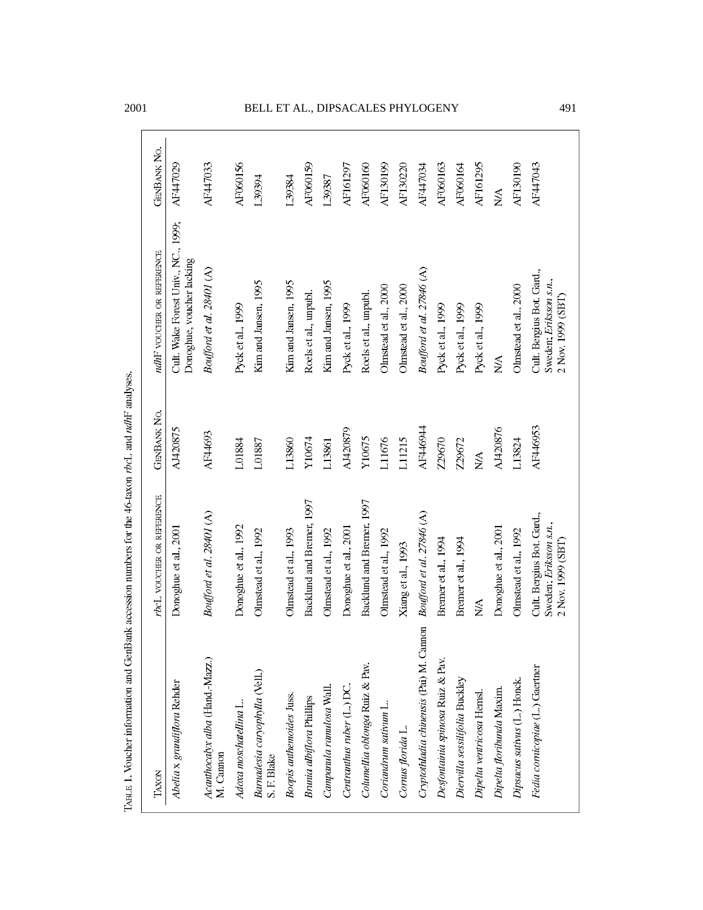TABLE 1. Voucher information and GenBank accession numbers for the 46-taxon rbcl. and ndhF analyses.

## 2001 BELL ET AL., DIPSACALES PHYLOGENY 491

| TAXON                                        | rbcL VOUCHER OR REFERENCE                                                | <b>GENBANK NO.</b> | ndhF voucher or reference                                                | <b>GENBANK NO.</b> |
|----------------------------------------------|--------------------------------------------------------------------------|--------------------|--------------------------------------------------------------------------|--------------------|
| Abelia x grandiflora Rehder                  | Donoghue et al., 2001                                                    | AJ420875           | Cult. Wake Forest Univ., NC., 1999;<br>Donoghue, voucher lacking         | AF447029           |
| Acanthocalyx alba (Hand.-Mazz.)<br>M. Cannon | Boufford et al. 28401 (A)                                                | AF44693            | Boufford et al. 28401 (A)                                                | AF447033           |
| Adoxa moschatellina L.                       | Donoghue et al., 1992                                                    | 1.01884            | Pyck et al., 1999                                                        | AF060156           |
| Barnadesia caryophylla (Vell.)<br>S.F. Blake | Olmstead et al., 1992                                                    | L01887             | Kim and Jansen, 1995                                                     | 139394             |
| Boopis anthemoides Juss.                     | Olmstead et al., 1993                                                    | L13860             | Kim and Jansen, 1995                                                     | 1.39384            |
| <b>Brunia</b> albiflora Phillips             | Backlund and Bremer, 1997                                                | Y10674             | Roels et al., unpubl.                                                    | <b>AF060159</b>    |
| Campanula ramulosa Wall.                     | Olmstead et al., 1992                                                    | L13861             | Kim and Jansen, 1995                                                     | 139387             |
| Centranthus ruber (L.) DC.                   | Donoghue et al., 2001                                                    | AJ420879           | Pyck et al., 1999                                                        | AF161297           |
| Columellia oblonga Ruiz & Pav.               | Backlund and Bremer, 1997                                                | Y10675             | Roels et al., unpubl.                                                    | AF060160           |
| Coriandrum sativum L.                        | Olmstead et al., 1992                                                    | L11676             | Olmstead et al., 2000                                                    | <b>AF130199</b>    |
| Cornus florida L.                            | Xiang et al., 1993                                                       | L11215             | Olmstead et al., 2000                                                    | AF130220           |
| Cryptothladia chinensis (Pai) M. Cannon      | Boufford et al. 27846 (A)                                                | AF446944           | Boufford et al. 27846 (A)                                                | AF447034           |
| Desfontainia spinosa Ruiz & Pav.             | Bremer et al., 1994                                                      | Z29670             | Pyck et al., 1999                                                        | AF060163           |
| Diervilla sessilifolia Buckley               | Bremer et al., 1994                                                      | Z29672             | Pyck et al., 1999                                                        | <b>AF060164</b>    |
| Dipelta ventricosa Hemsl.                    | NA                                                                       | N/A                | Pyck et al., 1999                                                        | <b>AF161295</b>    |
| Dipelta floribunda Maxim.                    | Donoghue et al., 2001                                                    | AJ420876           | N/A                                                                      | ŇN                 |
| Dipsacus sativus (L.) Honck.                 | Olmstead et al., 1992                                                    | L13824             | Olmstead et al., 2000                                                    | <b>AF130190</b>    |
| Fedia cornicopiae (L.) Gaertner              | Cult. Bergius Bot. Gard.,<br>Sweden; Eriksson s.n.,<br>2 Nov. 1999 (SBT) | AF446953           | Cult. Bergius Bot. Gard.,<br>Sweden; Eriksson s.n.,<br>2 Nov. 1999 (SBT) | AF447043           |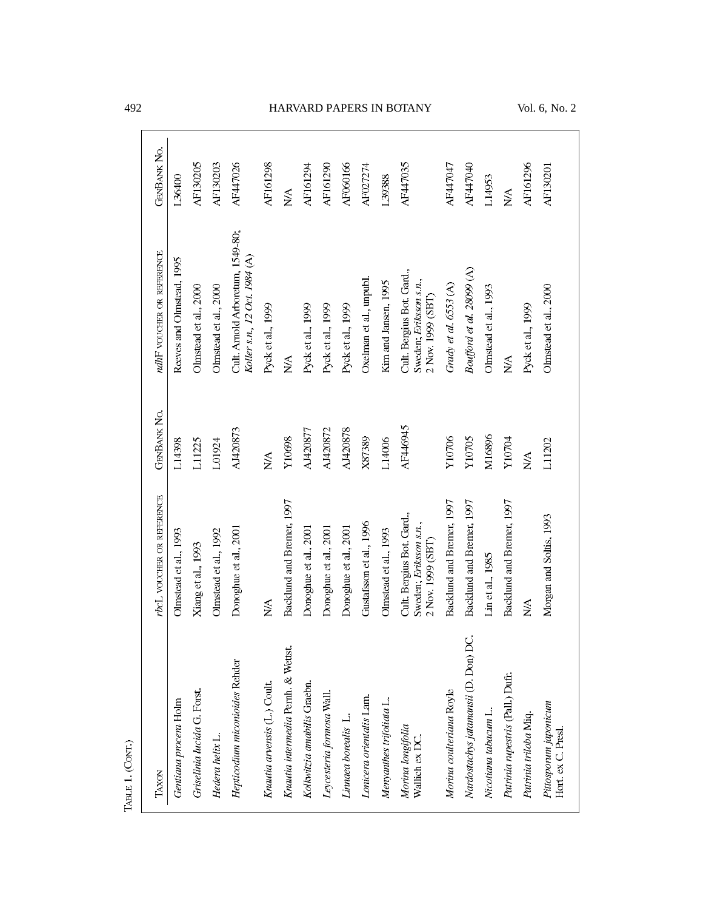| TAXON                                       | rbcL VOUCHER OR REFERENCE                                                | <b>GENBANK NO.</b>         | ndhF voucher or reference                                               | <b>GENBANK NO.</b>                |
|---------------------------------------------|--------------------------------------------------------------------------|----------------------------|-------------------------------------------------------------------------|-----------------------------------|
| Gentiana procera Holm                       | Olmstead et al., 1993                                                    | L14398                     | Reeves and Olmstead, 1995                                               | 1.36400                           |
| Griselinia lucida G. Forst.                 | Xiang et al., 1993                                                       | L11225                     | Olmstead et al., 2000                                                   | AF130205                          |
| Hedera helix L.                             | Olmstead et al., 1992                                                    | L01924                     | Olmstead et al., 2000                                                   | <b>AF130203</b>                   |
| Hepticodium miconioides Rehder              | Donoghue et al., 2001                                                    | AJ420873                   | Cult. Arnold Arboretum, 1549-80;<br>Koller s.n., 12 Oct. 1984 (A)       | AF447026                          |
| Knautia arvensis (L.) Coult.                | ΝA                                                                       | N/A                        | Pyck et al., 1999                                                       | <b>AF161298</b>                   |
| Knautia intermedia Pernh. & Wettst.         | Backlund and Bremer, 1997                                                | Y10698                     | $\frac{\lambda}{2}$                                                     | $\frac{\triangleleft}{\triangle}$ |
| Kolkwitzia amabilis Graebn.                 | Donoghue et al., 2001                                                    | AJ420877                   | Pyck et al., 1999                                                       | AF161294                          |
| Leycesteria formosa Wall.                   | Donoghue et al., 2001                                                    | AJ420872                   | Pyck et al., 1999                                                       | <b>AF161290</b>                   |
| Linnaea borealis L.                         | Donoghue et al., 2001                                                    | AJ420878                   | Pyck et al., 1999                                                       | <b>AF060166</b>                   |
| Lonicera orientalis Lam.                    | Gustafsson et al., 1996                                                  | X87389                     | Oxelman et al., unpubl.                                                 | AF027274                          |
| Menyanthes trifoliata L.                    | Olmstead et al., 1993                                                    | L14006                     | Kim and Jansen, 1995                                                    | 139388                            |
| Morina longifolia<br>Wallich ex DC.         | Cult. Bergius Bot. Gard.,<br>Sweden; Eriksson s.n.,<br>2 Nov. 1999 (SBT) | AF446945                   | Cult. Bergius Bot. Gard.,<br>Sweden; Eriksson s.n.,<br>2 Nov. 1999 (SBT | AF447035                          |
| Morina coulteriana Royle                    | Backlund and Bremer, 1997                                                | Y10706                     | Grady et al. $653(A)$                                                   | AF447047                          |
| Nardostachys jatamansii (D. Don) DC.        | Backlund and Bremer, 1997                                                | Y10705                     | Boufford et al. 28099 (A)                                               | AF447040                          |
| Nicotiana tabacum L.                        | Lin et al., 1985                                                         | M16896                     | Olmstead et al., 1993                                                   | L14953                            |
| Patrinia rupestris (Pall.) Dufr.            | Backlund and Bremer, 1997                                                | ү10704                     | ŃN                                                                      | $\mathbb{N}\mathbb{A}$            |
| Patrinia triloba Miq.                       | $\frac{\lambda}{2}$                                                      | $\mathop{\rm NA}\nolimits$ | Pyck et al., 1999                                                       | AF161296                          |
| Pittosporum japonicum<br>Hort. ex C. Presl. | Morgan and Soltis, 1993                                                  | L11202                     | Olmstead et al., 2000                                                   | <b>AF130201</b>                   |

TABLE 1. ( $Corr$ .)

## 492 HARVARD PAPERS IN BOTANY Vol. 6, No. 2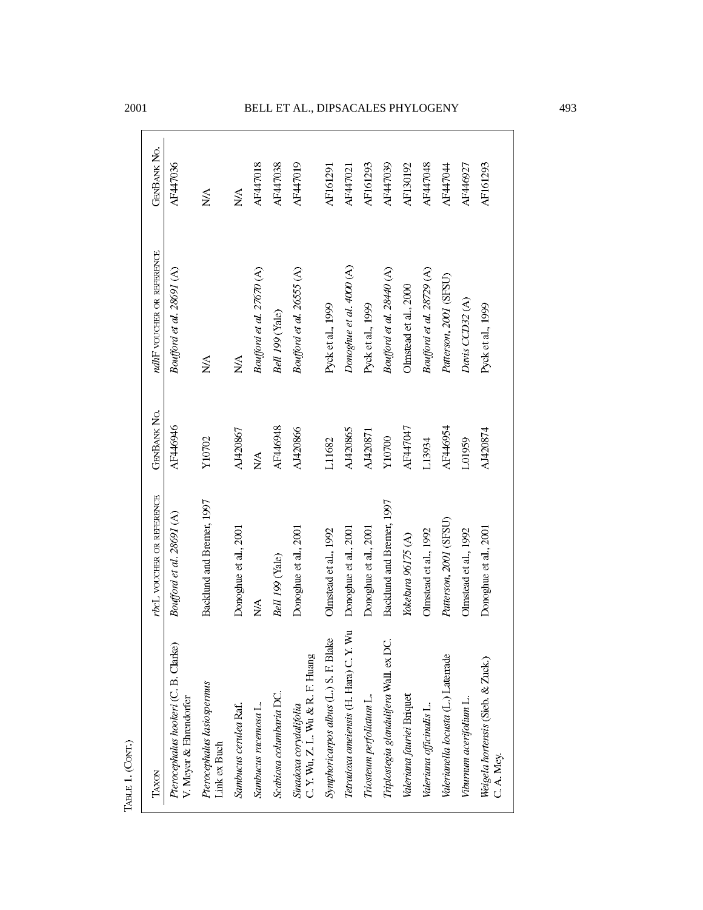| TAXON                                                          | rbcL VOUCHER OR REFERENCE | <b>GENBANK NO.</b> | ndhF voucher or REFERENCE | <b>GENBANK NO.</b>        |
|----------------------------------------------------------------|---------------------------|--------------------|---------------------------|---------------------------|
| Pterocephalus hookeri (C. B. Clarke)<br>V. Meyer & Ehrendorfer | Boufford et al. 28691 (A) | AF446946           | Boufford et al. 28691 (A) | AF447036                  |
| Pterocephalus lasiospermus<br>Link ex Buch                     | Backlund and Bremer, 1997 | Y10702             | <b>NA</b>                 | ŃΝ                        |
| Sambucus cerulea Raf.                                          | Donoghue et al., 2001     | AJ420867           | N/A                       | $\frac{\lambda}{\lambda}$ |
| Sambucus racemosa L.                                           | NA                        | <b>N/A</b>         | Boufford et al. 27670 (A) | <b>AF447018</b>           |
| Scabiosa columbaria DC.                                        | Bell 199 (Yale)           | AF446948           | Bell 199 (Yale)           | AF447038                  |
| Sinadoxa corydalifolia<br>C. Y. Wu, Z. L. Wu & R. F. Huang     | Donoghue et al., 2001     | AJ420866           | Boufford et al. 2655 (A)  | AF447019                  |
| Symphoricarpos albus (L.) S. F. Blake                          | Olmstead et al., 1992     | L11682             | Pyck et al., 1999         | AF161291                  |
| Tetradoxa omeiensis (H. Hara) C. Y. Wu                         | Donoghue et al., 2001     | AJ420865           | Donoghue et al. 4000 (A)  | AF447021                  |
| Triosteum perfoliatum L.                                       | Donoghue et al., 2001     | AJ420871           | Pyck et al., 1999         | <b>AF161293</b>           |
| Triplostegia glandulifera Wall. ex DC.                         | Backlund and Bremer, 1997 | Y10700             | Boufford et al. 28440 (A) | AF447039                  |
| Valeriana fauriei Briquet                                      | Yokekura 96175 (A)        | AF447047           | Olmstead et al., 2000     | AF130192                  |
| Valeriana officinalis L.                                       | Olmstead et al., 1992     | L13934             | Boufford et al. 28729 (A) | <b>AF447048</b>           |
| Valerianella locusta (L.) Laterrade                            | Patterson, 2001 (SFSU)    | AF446954           | Paterson, 2001 (SFSU)     | AF447044                  |
| Viburnum acerifolium L.                                        | Olmstead et al., 1992     | L01959             | Davis CCD32(A)            | AF446927                  |
| Weigela hortensis (Sieb. & Zuck.)<br>C.A. Mey.                 | Donoghue et al., 2001     | AJ420874           | Pyck et al., 1999         | <b>AF161293</b>           |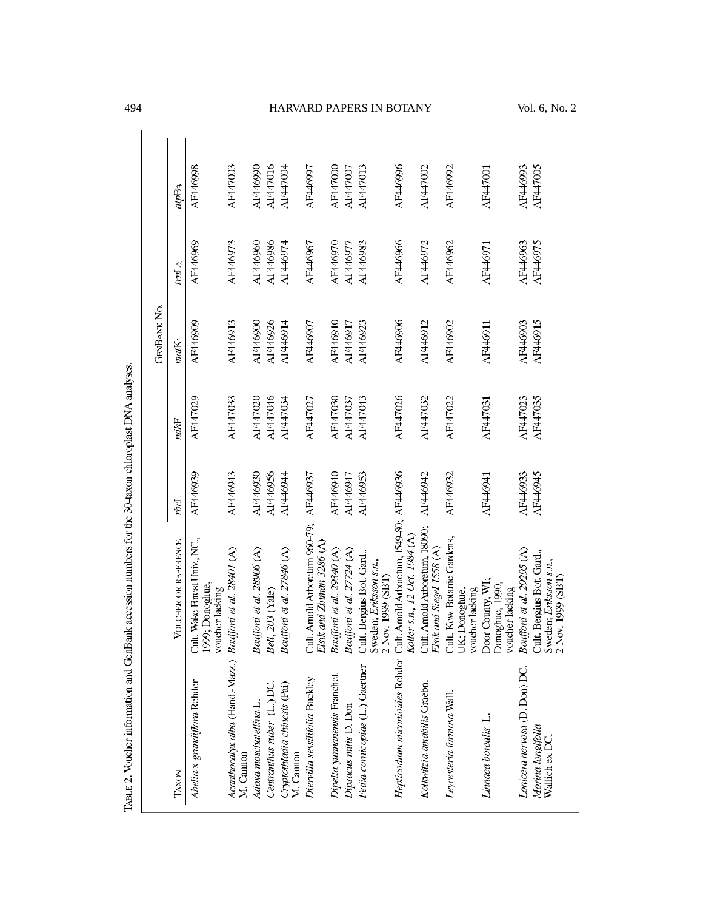|                                                                          |                                                                          |          |          | <b>GENBANK NO.</b> |                  |          |
|--------------------------------------------------------------------------|--------------------------------------------------------------------------|----------|----------|--------------------|------------------|----------|
| TAXON                                                                    | VOUCHER OR REFERENCE                                                     | rbcL     | ndhF     | $maxK_1$           | tmL <sub>2</sub> | atpB3    |
| Abelia x grandiflora Rehder                                              | Cult Wake Forest Univ., NC.,<br>1999; Donoghue,<br>voucher lacking       | AF446939 | AF447029 | AF446909           | AF446969         | AF446998 |
| Acanthocatyx alba (Hand-Mazz.) Boufford et al. 28401 (A)<br>M. Cannon    |                                                                          | AF446943 | AF447033 | AF446913           | AF446973         | AF447003 |
| Adoxa moschatellina L.                                                   | Boufford et al. 28906 (A)                                                | AF446930 | AF447020 | AF446900           | AF446960         | AF446990 |
| Centranthus ruber (L.) DC.                                               | Bell, 203 (Yale)                                                         | AF446956 | AF447046 | AF446926           | AF446986         | AF447016 |
| Cryptothladia chinesis (Pai)<br>M. Cannon                                | Boufford et al. 27846 (A)                                                | AF446944 | AF447034 | AF446914           | AF446974         | AF447004 |
| Diervilla sessilifolia Buckley                                           | Cult. Arnold Arboretum 960-79;<br>Elsik and Zinman 3286 (A)              | AF446937 | AF447027 | AF446907           | AF446967         | AF446997 |
| Dipelta yunnanensis Franchet                                             | Boufford et al. 29340 (A)                                                | AF446940 | AF447030 | AF446910           | AF446970         | AF447000 |
| Dipsacus mitis D. Don                                                    | Boufford et al. $27724$ (A)                                              | AF446947 | AF447037 | AF446917           | AF446977         | AF447007 |
| Fedia cornicopiae (L.) Gaertner                                          | Cult. Bergius Bot. Gard.,<br>Sweden; Eriksson s.n.,<br>2 Nov. 1999 (SBT) | AF446953 | AF447043 | AF446923           | AF446983         | AF447013 |
| Hepticodium miconioides Rehder Cult. Arnold Arboretum, 1549-80; AF446936 | Koller s.n., 12 Oct. 1984 (A)                                            |          | AF447026 | AF446906           | AF446966         | AF446996 |
| Kolkwitzia amabilis Graebn.                                              | Cult. Arnold Arboretum, 18090;<br>Elsik and Siegel 1558 (A)              | AF446942 | AF447032 | AF446912           | AF446972         | AF447002 |
| Leycesteria formosa Wall.                                                | Cult. Kew Botanic Gardens,<br>voucher lacking<br>UK; Donoghue,           | AF446932 | AF447022 | AF446902           | AF446962         | AF446992 |
| Linnaea borealis L.                                                      | Door County, WI;<br>Donoghue, 1990,<br>voucher lacking                   | AF446941 | AF447031 | AF446911           | AF446971         | AF447001 |
| Lonicera nervosa (D. Don) DC.                                            | Boufford et al. 29295 (A)                                                | AF446933 | AF447023 | AF446903           | AF446963         | AF446993 |
| Morina longifolia<br>Wallich ex DC.                                      | Cult. Bergius Bot. Gard.,<br>Sweden; Eriksson s.n.,<br>2 Nov. 1999 (SBT) | AF446945 | AF447035 | AF446915           | AF446975         | AF447005 |

TABLE 2. Voucher information and GenBank accession numbers for the 30-taxon chloroplast DNA analyses.

## 494 HARVARD PAPERS IN BOTANY Vol. 6, No. 2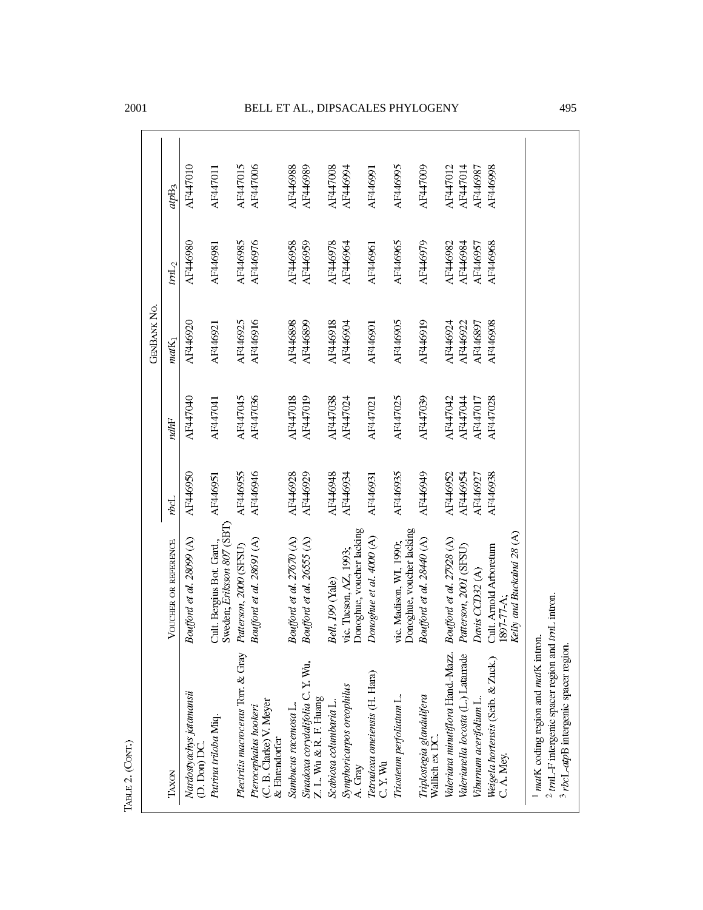|                                                                   |                                                                   |          |          | <b>GENBANK NO.</b> |          |                  |
|-------------------------------------------------------------------|-------------------------------------------------------------------|----------|----------|--------------------|----------|------------------|
| TAXON                                                             | VOUCHER OR REFERENCE                                              | rbcL     | ndhF     | $matK_1$           | $tmL_2$  | ap <sub>B3</sub> |
| Nardostyachys jatamansii<br>$(D.$ Don) $DC$                       | Boufford et al. 28099 (A)                                         | AF446950 | AF447040 | AF446920           | AF446980 | AF447010         |
| Patrina triloba Miq.                                              | Sweden; Eriksson 807 (SBT)<br>Cult. Bergius Bot. Gard.,           | AF446951 | AF447041 | AF446921           | AF446981 | AF447011         |
| Plectritis macroceras Torr. & Gray                                | Paterson, 2000 (SFSU)                                             | AF446955 | AF447045 | AF446925           | AF446985 | <b>AF447015</b>  |
| (C. B. Clarke) V. Meyer<br>Pterocephalus hookeri<br>& Ehrendorfer | Boufford et al. 28691 (A)                                         | AF446946 | AF447036 | AF446916           | AF446976 | AF447006         |
| Sambucus racemosa L.                                              | Boufford et al. 27670 (A)                                         | AF446928 | AF447018 | AF446898           | AF446958 | AF446988         |
| Wu,<br>Sinadoxa corydalifolia C. Y.<br>Z. L. Wu & R. F. Huang     | Boufford et al. 2655 (A)                                          | AF446929 | AF447019 | AF446899           | AF446959 | AF446989         |
| Scabiosa columbaria L.                                            | Bell, 199 (Yale)                                                  | AF446948 | AF447038 | AF446918           | AF446978 | AF447008         |
| Symphoricarpos oreophilus<br>A. Gray                              | Donoghue, voucher lacking<br>vic. Tucson, AZ, 1993;               | AF446934 | AF447024 | AF446904           | AF446964 | AF446994         |
| Tetradoxa omeiensis (H. Hara)<br>$2.15 \text{Wu}$                 | Donoghue et al. 4000 (A)                                          | AF446931 | AF447021 | AF446901           | AF446961 | AF446991         |
| Triosteum perfoliatum L.                                          | Donoghue, voucher lacking<br>vic. Madison, WI, 1990;              | AF446935 | AF447025 | AF446905           | AF446965 | AF446995         |
| Triplostegia glandulifera<br>Wallich ex DC.                       | Boufford et al. 28440 (A)                                         | AF446949 | AF447039 | AF446919           | AF446979 | AF447009         |
| Nazz.<br>Valeriana minutiflora Hand.                              | Boufford et al. 27928 (A)                                         | AF446952 | AF447042 | AF446924           | AF446982 | AF447012         |
| Valerianella locosta (L.) Latarrade                               | Paterson, 2001 (SFSU)                                             | AF446954 | AF447044 | AF446922           | AF446984 | AF447014         |
| Viburnum acerifolium L.                                           | Davis CCD32 (A)                                                   | AF446927 | AF447017 | AF446897           | AF446957 | AF446987         |
| Weigela hortensis (Seib. & Zuck.)<br>C.A. Mey.                    | Kelly and Buckalnd 28 (A)<br>Cult. Arnold Arboretum<br>1897-77-A: | AF446938 | AF447028 | AF446908           | AF446968 | AF446998         |

TABLE 2. (CONT.)

<sup>1</sup> *mat*K coding region and *mat*K intron.<br><sup>2</sup> *tm*L-F intergenic spacer region and *tmL* intron.<br><sup>3</sup> *rbcL-atp*B intergenic spacer region.

### 2001 BELL ET AL., DIPSACALES PHYLOGENY 495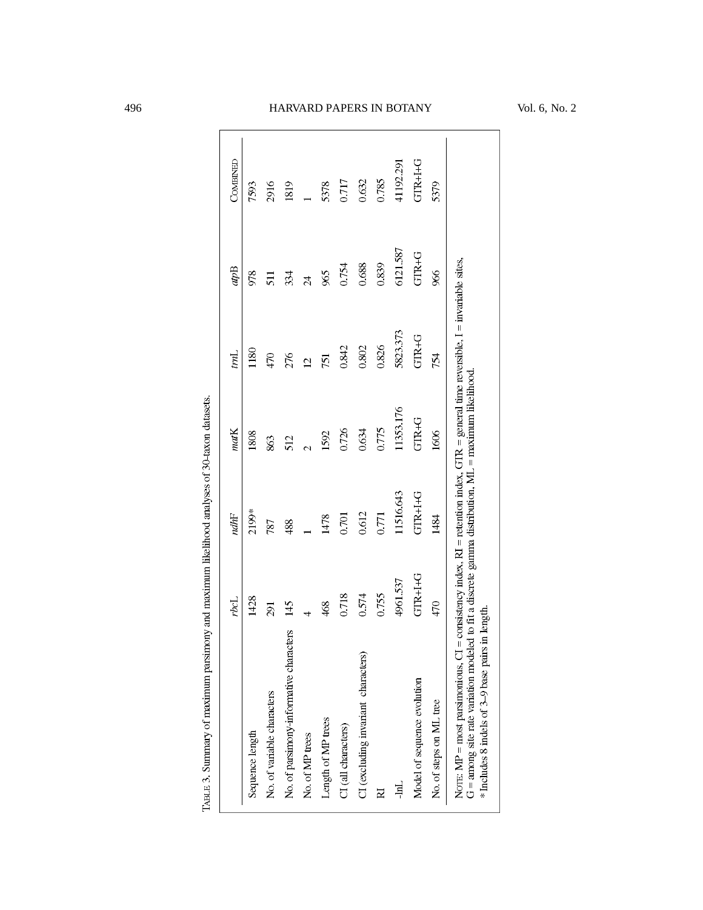|                                                                                                                                                                                                        | rbc      | ndhF           | matK     | imL                                                                                               | apB             | COMBINED       |
|--------------------------------------------------------------------------------------------------------------------------------------------------------------------------------------------------------|----------|----------------|----------|---------------------------------------------------------------------------------------------------|-----------------|----------------|
| Sequence length                                                                                                                                                                                        | 1428     | 2199*          | 1808     | 1180                                                                                              | 978             | 7593           |
| No. of variable characters                                                                                                                                                                             | 291      | 787            | 863      | 470                                                                                               | 511             | 2916           |
| No. of parsimony-informative characters                                                                                                                                                                | 145      | 488            | 512      | 276                                                                                               | 334             | 1819           |
| No. of MP trees                                                                                                                                                                                        |          |                |          | $\overline{5}$                                                                                    | $\overline{24}$ |                |
| Length of MP trees                                                                                                                                                                                     | 468      | 1478           | 1592     | 751                                                                                               | 965             | 5378           |
| CI (all characters)                                                                                                                                                                                    | 0.718    | 0.701          | 0.726    | 0.842                                                                                             | 0.754           | 0.717          |
| CI (excluding invariant characters)                                                                                                                                                                    | 0.574    | 0.612          | 0.634    | 0.802                                                                                             | 0.688           | 0.632          |
|                                                                                                                                                                                                        | 0.755    | 0.771          | 0.775    | 0.826                                                                                             | 0.839           | 0.785          |
| 中                                                                                                                                                                                                      | 4961.537 | 1516.643       | 1353.176 | 5823.373                                                                                          | 6121.587        | 41192.291      |
| Model of sequence evolution                                                                                                                                                                            | GTR+I+G  | <b>GTR+I+G</b> | GTR+G    | GTR+G                                                                                             | GTR+G           | <b>GTR+I+G</b> |
| No. of steps on ML tree                                                                                                                                                                                | 470      | 1484           | 1606     | 754                                                                                               | 966             | 5379           |
| $G = \text{among site rate variation modeled to fit a discrete gamma distribution, ML = maximum likelihood$<br>* Includes 8 indels of 3-9 base pairs in length<br>NOTE: $MP = most parsimonious, CI =$ |          |                |          | consistency index, $Rl$ = retention index, GTR = general time reversible, $l$ = invariable sites, |                 |                |

TABLE 3. Summary of maximum parsimony and maximum likelihood analyses of 30-taxon datasets.

# 496 HARVARD PAPERS IN BOTANY Vol. 6, No. 2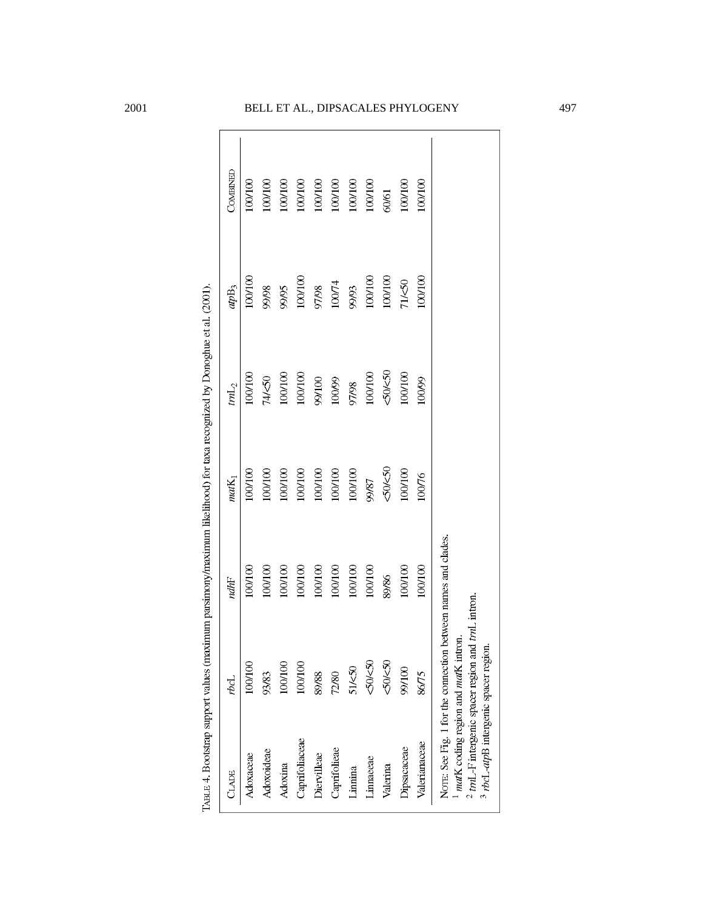| CLADE                                                                                                                              | rpcI                                                          | ndhF        | matK <sub>1</sub> | $tm{\mathbb L}_2$ | ap <sub>B3</sub> | COMBINED |
|------------------------------------------------------------------------------------------------------------------------------------|---------------------------------------------------------------|-------------|-------------------|-------------------|------------------|----------|
| Adoxaceae                                                                                                                          | 100/100                                                       | 100/100     | 100/100           | 100/100           | 100/100          | 100/100  |
| Adoxoideae                                                                                                                         | 93/83                                                         | 100/100     | 100/100           | 74/<50            | 86/66            | 100/100  |
| Adoxina                                                                                                                            | 100/100                                                       | 100/100     | 100/100           | 100/100           | 99/95            | 100/100  |
| Caprifoliaceae                                                                                                                     | 100/100                                                       | 100/100     | 100/100           | 100/100           | 100/100          | 100/100  |
| Diervilleae                                                                                                                        | 89/88                                                         | 100/100     | 100/100           | 99/100            | 97/98            | 100/100  |
| Caprifolieae                                                                                                                       | 72/80                                                         | 100/100     | 100/100           | 100/99            | $100/74$         | 100/100  |
| Linnina                                                                                                                            | 51/<50                                                        | 100/100     | 100/100           | 97/98             | 99/93            | 100/100  |
| Linnaeeae                                                                                                                          | <50/<50                                                       | 100/100     | 99/87             | $100/100$         | $100100$         | 100/100  |
| Valerina                                                                                                                           | <50/<50                                                       | 89/86       | 50/50             | 50/50             | 100/100          | 60/61    |
| Dipsacaceae                                                                                                                        | 99/100                                                        | 100/100     | 100/100           | 100/100           | 71/<50           | 100/100  |
| Valerianaceae                                                                                                                      | 86/75                                                         | 100/100     | 10076             | 100/99            | 100/100          | 100/100  |
| mark coding region and mark intron.<br>$2$ trnL-F intergenic spacer region and<br><sup>3</sup> rbcL-atpB intergenic spacer region. | NOTE: See Fig. 1 for the connection between names and clades. | traL intron |                   |                   |                  |          |

TABLE 4. Bootstrap support values (maximum parsimony/maximum likelihood) for taxa recognized by Donoghue et al. (2001).

## 2001 BELL ET AL., DIPSACALES PHYLOGENY 497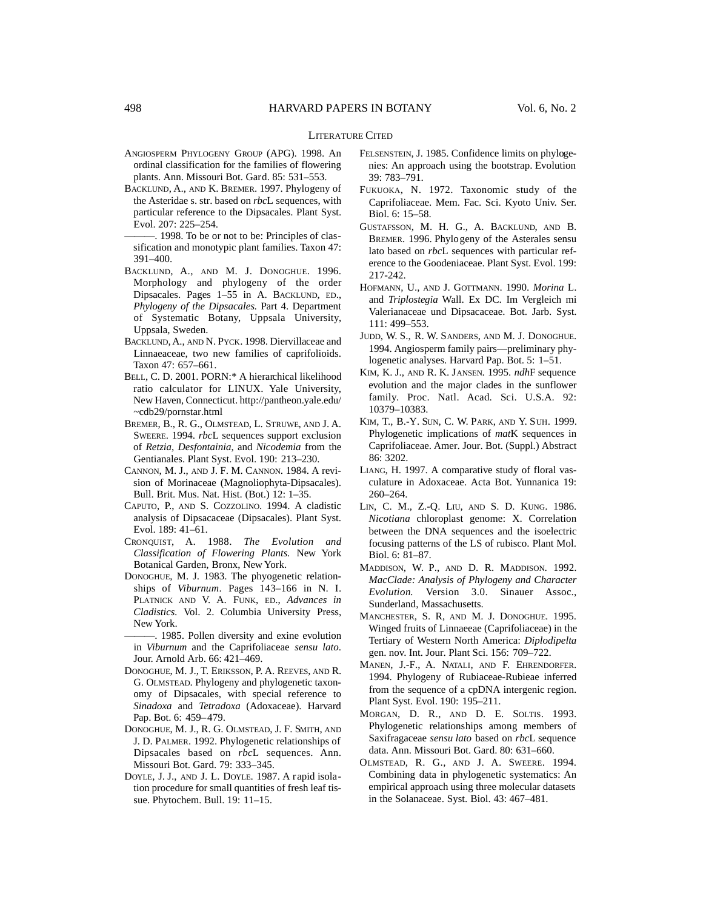#### LITERATURE CITED

- ANGIOSPERM PHYLOGENY GROUP (APG). 1998. An ordinal classification for the families of flowering plants. Ann. Missouri Bot. Gard. 85: 531–553.
- BACKLUND, A., AND K. BREMER. 1997. Phylogeny of the Asteridae s. str. based on *rbc*L sequences, with particular reference to the Dipsacales. Plant Syst. Evol. 207: 225–254.
- -. 1998. To be or not to be: Principles of classification and monotypic plant families. Taxon 47: 391–400.
- BACKLUND, A., AND M. J. DONOGHUE. 1996. Morphology and phylogeny of the order Dipsacales. Pages 1–55 in A. BACKLUND, ED., *Phylogeny of the Dipsacales.* Part 4. Department of Systematic Botany, Uppsala University, Uppsala, Sweden.
- BACKLUND, A., AND N. PYCK. 1998. Diervillaceae and Linnaeaceae, two new families of caprifolioids. Taxon 47: 657–661.
- BELL, C. D. 2001. PORN:\* A hierarchical likelihood ratio calculator for LINUX. Yale University, New Haven, Connecticut. http://pantheon.yale.edu/ ~cdb29/pornstar.html
- BREMER, B., R. G., OLMSTEAD, L. STRUWE, AND J. A. SWEERE. 1994. *rbc*L sequences support exclusion of *Retzia*, *Desfontainia*, and *Nicodemia* from the Gentianales. Plant Syst. Evol. 190: 213–230.
- CANNON, M. J., AND J. F. M. CANNON. 1984. A revision of Morinaceae (Magnoliophyta-Dipsacales). Bull. Brit. Mus. Nat. Hist. (Bot.) 12: 1–35.
- CAPUTO, P., AND S. COZZOLINO. 1994. A cladistic analysis of Dipsacaceae (Dipsacales). Plant Syst. Evol. 189: 41–61.
- CRONQUIST, A. 1988. *The Evolution and Classification of Flowering Plants.* New York Botanical Garden, Bronx, New York.
- DONOGHUE, M. J. 1983. The phyogenetic relationships of *Viburnum*. Pages 143-166 in N. I. PLATNICK AND V. A. FUNK, ED., Advances in *Cladistics.* Vol. 2. Columbia University Press, New York.
- -. 1985. Pollen diversity and exine evolution in *Viburnum* and the Caprifoliaceae *sensu lato*. Jour. Arnold Arb. 66: 421–469.
- DONOGHUE, M. J., T. ERIKSSON, P. A. REEVES, AND R. G. OLMSTEAD. Phylogeny and phylogenetic taxonomy of Dipsacales, with special reference to *Sinadoxa* and *Tetradoxa* (Adoxaceae). Harvard Pap. Bot. 6: 459–479.
- DONOGHUE, M. J., R. G. OLMSTEAD, J. F. SMITH, AND J. D. PALMER. 1992. Phylogenetic relationships of Dipsacales based on *rbcL* sequences. Ann. Missouri Bot. Gard. 79: 333–345.
- DOYLE, J. J., AND J. L. DOYLE. 1987. A rapid isolation procedure for small quantities of fresh leaf tissue. Phytochem. Bull. 19: 11–15.
- FELSENSTEIN, J. 1985. Confidence limits on phylogenies: An approach using the bootstrap. Evolution 39: 783–791.
- FUKUOKA, N. 1972. Taxonomic study of the Caprifoliaceae. Mem. Fac. Sci. Kyoto Univ. Ser. Biol. 6: 15–58.
- GUSTAFSSON, M. H. G., A. BACKLUND, AND B. BREMER. 1996. Phylogeny of the Asterales sensu lato based on *rbc*L sequences with particular reference to the Goodeniaceae. Plant Syst. Evol. 199: 217-242.
- HOFMANN, U., AND J. GOTTMANN. 1990. *Morina* L. and *Triplostegia* Wall. Ex DC. Im Vergleich mi Valerianaceae und Dipsacaceae. Bot. Jarb. Syst. 111: 499–553.
- JUDD, W. S., R. W. SANDERS, AND M. J. DONOGHUE. 1994. Angiosperm family pairs—preliminary phylogenetic analyses. Harvard Pap. Bot. 5: 1–51.
- KIM, K. J., AND R. K. JANSEN. 1995. *ndh*F sequence evolution and the major clades in the sunflower family. Proc. Natl. Acad. Sci. U.S.A. 92: 10379–10383.
- KIM, T., B.-Y. SUN, C. W. PARK, AND Y. SUH. 1999. Phylogenetic implications of *mat*K sequences in Caprifoliaceae. Amer. Jour. Bot. (Suppl.) Abstract 86: 3202.
- LIANG, H. 1997. A comparative study of floral vasculature in Adoxaceae. Acta Bot. Yunnanica 19: 260–264.
- LIN, C. M., Z.-Q. LIU, AND S. D. KUNG. 1986. *Nicotiana* chloroplast genome: X. Correlation between the DNA sequences and the isoelectric focusing patterns of the LS of rubisco. Plant Mol. Biol. 6: 81–87.
- MADDISON, W. P., AND D. R. MADDISON. 1992. *MacClade: Analysis of Phylogeny and Character Evolution.* Version 3.0. Sinauer Assoc., Sunderland, Massachusetts.
- MANCHESTER, S. R, AND M. J. DONOGHUE. 1995. Winged fruits of Linnaeeae (Caprifoliaceae) in the Tertiary of Western North America: *Diplodipelta* gen. nov. Int. Jour. Plant Sci. 156: 709–722.
- MANEN, J.-F., A. NATALI, AND F. EHRENDORFER. 1994. Phylogeny of Rubiaceae-Rubieae inferred from the sequence of a cpDNA intergenic region. Plant Syst. Evol. 190: 195–211.
- MORGAN, D. R., AND D. E. SOLTIS. 1993. Phylogenetic relationships among members of Saxifragaceae *sensu lato* based on *rbc*L sequence data. Ann. Missouri Bot. Gard. 80: 631–660.
- OLMSTEAD, R. G., AND J. A. SWEERE. 1994. Combining data in phylogenetic systematics: An empirical approach using three molecular datasets in the Solanaceae. Syst. Biol. 43: 467–481.